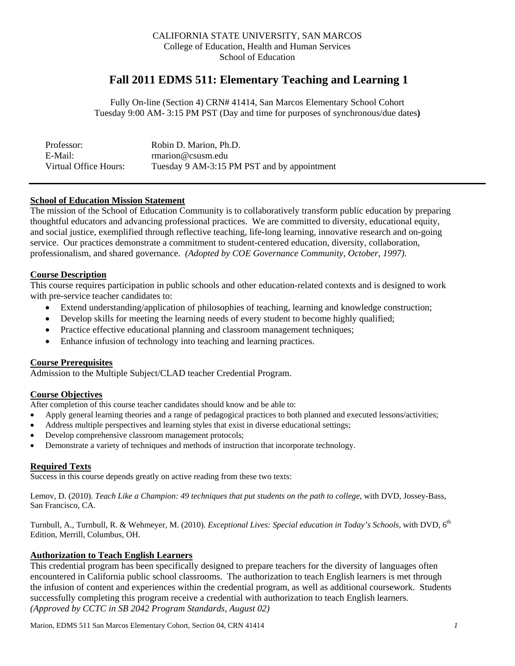### CALIFORNIA STATE UNIVERSITY, SAN MARCOS College of Education, Health and Human Services School of Education

# **Fall 2011 EDMS 511: Elementary Teaching and Learning 1**

Fully On-line (Section 4) CRN# 41414, San Marcos Elementary School Cohort Tuesday 9:00 AM- 3:15 PM PST (Day and time for purposes of synchronous/due dates**)** 

| Professor:            | Robin D. Marion, Ph.D.                      |
|-----------------------|---------------------------------------------|
| E-Mail:               | $r$ marion@csusm.edu                        |
| Virtual Office Hours: | Tuesday 9 AM-3:15 PM PST and by appointment |

# **School of Education Mission Statement**

The mission of the School of Education Community is to collaboratively transform public education by preparing thoughtful educators and advancing professional practices. We are committed to diversity, educational equity, and social justice, exemplified through reflective teaching, life-long learning, innovative research and on-going service. Our practices demonstrate a commitment to student-centered education, diversity, collaboration, professionalism, and shared governance. *(Adopted by COE Governance Community, October, 1997).* 

# **Course Description**

This course requires participation in public schools and other education-related contexts and is designed to work with pre-service teacher candidates to:

- Extend understanding/application of philosophies of teaching, learning and knowledge construction;
- Develop skills for meeting the learning needs of every student to become highly qualified;
- Practice effective educational planning and classroom management techniques;
- Enhance infusion of technology into teaching and learning practices.

# **Course Prerequisites**

Admission to the Multiple Subject/CLAD teacher Credential Program.

# **Course Objectives**

After completion of this course teacher candidates should know and be able to:

- Apply general learning theories and a range of pedagogical practices to both planned and executed lessons/activities;
- Address multiple perspectives and learning styles that exist in diverse educational settings;
- Develop comprehensive classroom management protocols;
- Demonstrate a variety of techniques and methods of instruction that incorporate technology.

# **Required Texts**

Success in this course depends greatly on active reading from these two texts:

 Lemov, D. (2010). *Teach Like a Champion: 49 techniques that put students on the path to college*, with DVD, Jossey-Bass, San Francisco, CA.

Turnbull, A., Turnbull, R. & Wehmeyer, M. (2010). *Exceptional Lives: Special education in Today's Schools,* with DVD, 6th Edition, Merrill, Columbus, OH.

# **Authorization to Teach English Learners**

This credential program has been specifically designed to prepare teachers for the diversity of languages often encountered in California public school classrooms. The authorization to teach English learners is met through the infusion of content and experiences within the credential program, as well as additional coursework. Students successfully completing this program receive a credential with authorization to teach English learners. *(Approved by CCTC in SB 2042 Program Standards, August 02)*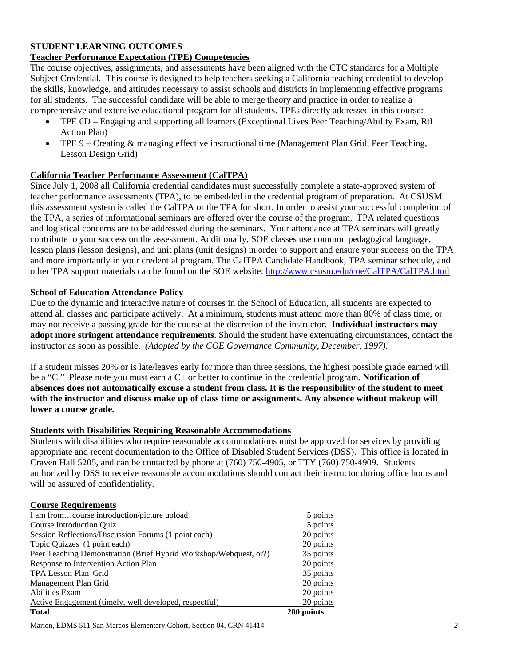# **STUDENT LEARNING OUTCOMES**

# **Teacher Performance Expectation (TPE) Competencies**

The course objectives, assignments, and assessments have been aligned with the CTC standards for a Multiple Subject Credential. This course is designed to help teachers seeking a California teaching credential to develop the skills, knowledge, and attitudes necessary to assist schools and districts in implementing effective programs for all students. The successful candidate will be able to merge theory and practice in order to realize a comprehensive and extensive educational program for all students. TPEs directly addressed in this course:

- TPE 6D Engaging and supporting all learners (Exceptional Lives Peer Teaching/Ability Exam, RtI Action Plan)
- TPE 9 Creating & managing effective instructional time (Management Plan Grid, Peer Teaching, Lesson Design Grid)

# **California Teacher Performance Assessment (CalTPA)**

Since July 1, 2008 all California credential candidates must successfully complete a state-approved system of teacher performance assessments (TPA), to be embedded in the credential program of preparation. At CSUSM this assessment system is called the CalTPA or the TPA for short. In order to assist your successful completion of the TPA, a series of informational seminars are offered over the course of the program. TPA related questions and logistical concerns are to be addressed during the seminars. Your attendance at TPA seminars will greatly contribute to your success on the assessment. Additionally, SOE classes use common pedagogical language, lesson plans (lesson designs), and unit plans (unit designs) in order to support and ensure your success on the TPA and more importantly in your credential program. The CalTPA Candidate Handbook, TPA seminar schedule, and other TPA support materials can be found on the SOE website: http://www.csusm.edu/coe/CalTPA/CalTPA.html

# **School of Education Attendance Policy**

 instructor as soon as possible. *(Adopted by the COE Governance Community, December, 1997).* Due to the dynamic and interactive nature of courses in the School of Education, all students are expected to attend all classes and participate actively. At a minimum, students must attend more than 80% of class time, or may not receive a passing grade for the course at the discretion of the instructor. **Individual instructors may adopt more stringent attendance requirements**. Should the student have extenuating circumstances, contact the

If a student misses 20% or is late/leaves early for more than three sessions, the highest possible grade earned will be a "C." Please note you must earn a C+ or better to continue in the credential program. **Notification of absences does not automatically excuse a student from class. It is the responsibility of the student to meet with the instructor and discuss make up of class time or assignments. Any absence without makeup will lower a course grade.** 

# **Students with Disabilities Requiring Reasonable Accommodations**

Students with disabilities who require reasonable accommodations must be approved for services by providing appropriate and recent documentation to the Office of Disabled Student Services (DSS). This office is located in Craven Hall 5205, and can be contacted by phone at (760) 750-4905, or TTY (760) 750-4909. Students authorized by DSS to receive reasonable accommodations should contact their instructor during office hours and will be assured of confidentiality.

# **Course Requirements**

| <b>Total</b>                                                      | 200 points |
|-------------------------------------------------------------------|------------|
| Active Engagement (timely, well developed, respectful)            | 20 points  |
| <b>Abilities Exam</b>                                             | 20 points  |
| Management Plan Grid                                              | 20 points  |
| TPA Lesson Plan Grid                                              | 35 points  |
| Response to Intervention Action Plan                              | 20 points  |
| Peer Teaching Demonstration (Brief Hybrid Workshop/Webquest, or?) | 35 points  |
| Topic Quizzes (1 point each)                                      | 20 points  |
| Session Reflections/Discussion Forums (1 point each)              | 20 points  |
| Course Introduction Ouiz                                          | 5 points   |
| I am fromcourse introduction/picture upload                       | 5 points   |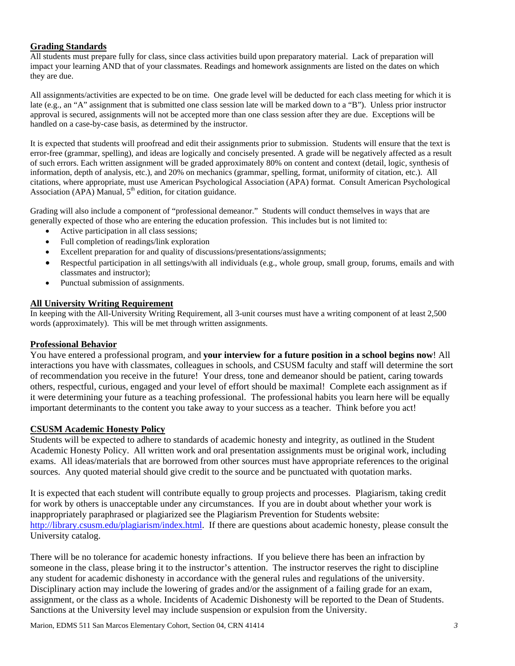# **Grading Standards**

All students must prepare fully for class, since class activities build upon preparatory material. Lack of preparation will impact your learning AND that of your classmates. Readings and homework assignments are listed on the dates on which they are due.

All assignments/activities are expected to be on time. One grade level will be deducted for each class meeting for which it is late (e.g., an "A" assignment that is submitted one class session late will be marked down to a "B"). Unless prior instructor approval is secured, assignments will not be accepted more than one class session after they are due. Exceptions will be handled on a case-by-case basis, as determined by the instructor.

 It is expected that students will proofread and edit their assignments prior to submission. Students will ensure that the text is information, depth of analysis, etc.), and 20% on mechanics (grammar, spelling, format, uniformity of citation, etc.). All error-free (grammar, spelling), and ideas are logically and concisely presented. A grade will be negatively affected as a result of such errors. Each written assignment will be graded approximately 80% on content and context (detail, logic, synthesis of citations, where appropriate, must use American Psychological Association (APA) format. Consult American Psychological Association (APA) Manual,  $5<sup>th</sup>$  edition, for citation guidance.

Grading will also include a component of "professional demeanor." Students will conduct themselves in ways that are generally expected of those who are entering the education profession. This includes but is not limited to:

- Active participation in all class sessions;
- Full completion of readings/link exploration
- Excellent preparation for and quality of discussions/presentations/assignments;
- Respectful participation in all settings/with all individuals (e.g., whole group, small group, forums, emails and with classmates and instructor);
- Punctual submission of assignments.

# **All University Writing Requirement**

In keeping with the All-University Writing Requirement, all 3-unit courses must have a writing component of at least 2,500 words (approximately). This will be met through written assignments.

# **Professional Behavior**

You have entered a professional program, and **your interview for a future position in a school begins now**! All interactions you have with classmates, colleagues in schools, and CSUSM faculty and staff will determine the sort of recommendation you receive in the future! Your dress, tone and demeanor should be patient, caring towards others, respectful, curious, engaged and your level of effort should be maximal! Complete each assignment as if it were determining your future as a teaching professional. The professional habits you learn here will be equally important determinants to the content you take away to your success as a teacher. Think before you act!

# **CSUSM Academic Honesty Policy**

Students will be expected to adhere to standards of academic honesty and integrity, as outlined in the Student Academic Honesty Policy. All written work and oral presentation assignments must be original work, including exams. All ideas/materials that are borrowed from other sources must have appropriate references to the original sources. Any quoted material should give credit to the source and be punctuated with quotation marks.

It is expected that each student will contribute equally to group projects and processes. Plagiarism, taking credit for work by others is unacceptable under any circumstances. If you are in doubt about whether your work is inappropriately paraphrased or plagiarized see the Plagiarism Prevention for Students website: http://library.csusm.edu/plagiarism/index.html. If there are questions about academic honesty, please consult the University catalog.

any student for academic dishonesty in accordance with the general rules and regulations of the university. There will be no tolerance for academic honesty infractions. If you believe there has been an infraction by someone in the class, please bring it to the instructor's attention. The instructor reserves the right to discipline Disciplinary action may include the lowering of grades and/or the assignment of a failing grade for an exam, assignment, or the class as a whole. Incidents of Academic Dishonesty will be reported to the Dean of Students. Sanctions at the University level may include suspension or expulsion from the University.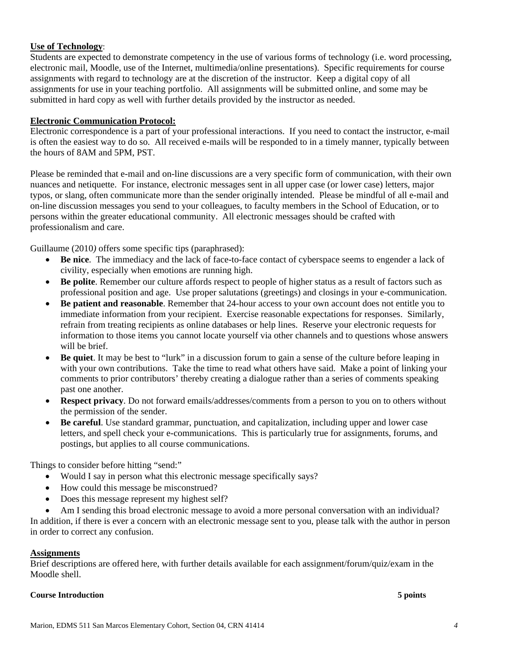# **Use of Technology**:

Students are expected to demonstrate competency in the use of various forms of technology (i.e. word processing, electronic mail, Moodle, use of the Internet, multimedia/online presentations). Specific requirements for course assignments with regard to technology are at the discretion of the instructor. Keep a digital copy of all assignments for use in your teaching portfolio. All assignments will be submitted online, and some may be submitted in hard copy as well with further details provided by the instructor as needed.

# **Electronic Communication Protocol:**

Electronic correspondence is a part of your professional interactions. If you need to contact the instructor, e-mail is often the easiest way to do so. All received e-mails will be responded to in a timely manner, typically between the hours of 8AM and 5PM, PST.

Please be reminded that e-mail and on-line discussions are a very specific form of communication, with their own nuances and netiquette. For instance, electronic messages sent in all upper case (or lower case) letters, major typos, or slang, often communicate more than the sender originally intended. Please be mindful of all e-mail and on-line discussion messages you send to your colleagues, to faculty members in the School of Education, or to persons within the greater educational community. All electronic messages should be crafted with professionalism and care.

Guillaume (2010*)* offers some specific tips (paraphrased):

- **Be nice**. The immediacy and the lack of face-to-face contact of cyberspace seems to engender a lack of civility, especially when emotions are running high.
- **Be polite**. Remember our culture affords respect to people of higher status as a result of factors such as professional position and age. Use proper salutations (greetings) and closings in your e-communication.
- **Be patient and reasonable**. Remember that 24-hour access to your own account does not entitle you to immediate information from your recipient. Exercise reasonable expectations for responses. Similarly, refrain from treating recipients as online databases or help lines. Reserve your electronic requests for information to those items you cannot locate yourself via other channels and to questions whose answers will be brief.
- **Be quiet**. It may be best to "lurk" in a discussion forum to gain a sense of the culture before leaping in with your own contributions. Take the time to read what others have said. Make a point of linking your comments to prior contributors' thereby creating a dialogue rather than a series of comments speaking past one another.
- **Respect privacy**. Do not forward emails/addresses/comments from a person to you on to others without the permission of the sender.
- **Be careful**. Use standard grammar, punctuation, and capitalization, including upper and lower case letters, and spell check your e-communications. This is particularly true for assignments, forums, and postings, but applies to all course communications.

Things to consider before hitting "send:"

- Would I say in person what this electronic message specifically says?
- How could this message be misconstrued?
- Does this message represent my highest self?
- Am I sending this broad electronic message to avoid a more personal conversation with an individual?

In addition, if there is ever a concern with an electronic message sent to you, please talk with the author in person in order to correct any confusion.

### **Assignments**

Brief descriptions are offered here, with further details available for each assignment/forum/quiz/exam in the Moodle shell.

### **Course Introduction 5 points**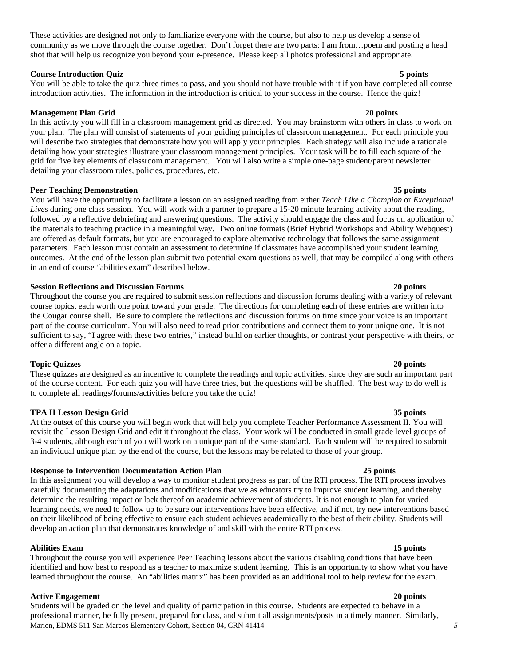These activities are designed not only to familiarize everyone with the course, but also to help us develop a sense of community as we move through the course together. Don't forget there are two parts: I am from…poem and posting a head shot that will help us recognize you beyond your e-presence. Please keep all photos professional and appropriate.

### **Course Introduction Quiz 5 points**

#### You will be able to take the quiz three times to pass, and you should not have trouble with it if you have completed all course introduction activities. The information in the introduction is critical to your success in the course. Hence the quiz!

### **Management Plan Grid 20 points**

 In this activity you will fill in a classroom management grid as directed. You may brainstorm with others in class to work on grid for five key elements of classroom management. You will also write a simple one-page student/parent newsletter your plan. The plan will consist of statements of your guiding principles of classroom management. For each principle you will describe two strategies that demonstrate how you will apply your principles. Each strategy will also include a rationale detailing how your strategies illustrate your classroom management principles. Your task will be to fill each square of the detailing your classroom rules, policies, procedures, etc.

### **Peer Teaching Demonstration 35 points 35 points 35 points in the set of the set of the set of the set of the set of the set of the set of the set of the set of the set of the set of the set of the set of the set of the se**

 You will have the opportunity to facilitate a lesson on an assigned reading from either *Teach Like a Champion* or *Exceptional Lives* during one class session. You will work with a partner to prepare a 15-20 minute learning activity about the reading, outcomes. At the end of the lesson plan submit two potential exam questions as well, that may be compiled along with others followed by a reflective debriefing and answering questions. The activity should engage the class and focus on application of the materials to teaching practice in a meaningful way. Two online formats (Brief Hybrid Workshops and Ability Webquest) are offered as default formats, but you are encouraged to explore alternative technology that follows the same assignment parameters. Each lesson must contain an assessment to determine if classmates have accomplished your student learning in an end of course "abilities exam" described below.

#### **Session Reflections and Discussion Forums 20 points**

 part of the course curriculum. You will also need to read prior contributions and connect them to your unique one. It is not sufficient to say, "I agree with these two entries," instead build on earlier thoughts, or contrast your perspective with theirs, or Throughout the course you are required to submit session reflections and discussion forums dealing with a variety of relevant course topics, each worth one point toward your grade. The directions for completing each of these entries are written into the Cougar course shell. Be sure to complete the reflections and discussion forums on time since your voice is an important offer a different angle on a topic.

### **Topic Quizzes 20 points**

These quizzes are designed as an incentive to complete the readings and topic activities, since they are such an important part of the course content. For each quiz you will have three tries, but the questions will be shuffled. The best way to do well is to complete all readings/forums/activities before you take the quiz!

### **TPA II Lesson Design Grid 35 points**

 revisit the Lesson Design Grid and edit it throughout the class. Your work will be conducted in small grade level groups of 3-4 students, although each of you will work on a unique part of the same standard. Each student will be required to submit an individual unique plan by the end of the course, but the lessons may be related to those of your group. At the outset of this course you will begin work that will help you complete Teacher Performance Assessment II. You will

### **Response to Intervention Documentation Action Plan 25 points**

 determine the resulting impact or lack thereof on academic achievement of students. It is not enough to plan for varied In this assignment you will develop a way to monitor student progress as part of the RTI process. The RTI process involves carefully documenting the adaptations and modifications that we as educators try to improve student learning, and thereby learning needs, we need to follow up to be sure our interventions have been effective, and if not, try new interventions based on their likelihood of being effective to ensure each student achieves academically to the best of their ability. Students will develop an action plan that demonstrates knowledge of and skill with the entire RTI process.

### **Abilities Exam 15 points**

 learned throughout the course. An "abilities matrix" has been provided as an additional tool to help review for the exam. Throughout the course you will experience Peer Teaching lessons about the various disabling conditions that have been identified and how best to respond as a teacher to maximize student learning. This is an opportunity to show what you have

### **Active Engagement 20 points**

 Students will be graded on the level and quality of participation in this course. Students are expected to behave in a professional manner, be fully present, prepared for class, and submit all assignments/posts in a timely manner. Similarly, Marion, EDMS 511 San Marcos Elementary Cohort, Section 04, CRN 41414 *5*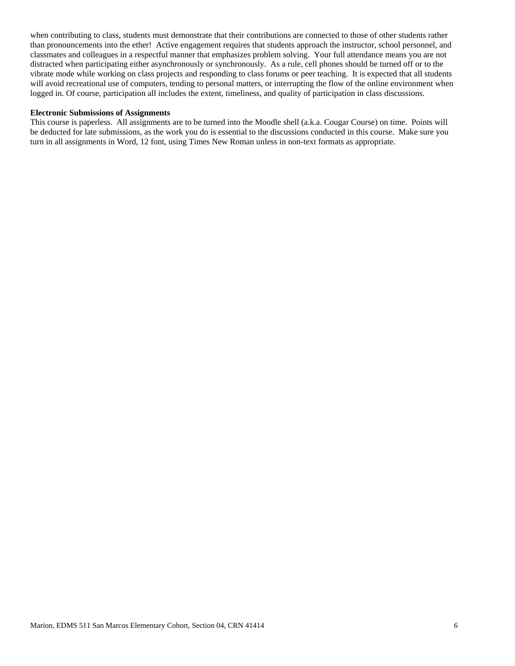when contributing to class, students must demonstrate that their contributions are connected to those of other students rather than pronouncements into the ether! Active engagement requires that students approach the instructor, school personnel, and classmates and colleagues in a respectful manner that emphasizes problem solving. Your full attendance means you are not distracted when participating either asynchronously or synchronously. As a rule, cell phones should be turned off or to the vibrate mode while working on class projects and responding to class forums or peer teaching. It is expected that all students will avoid recreational use of computers, tending to personal matters, or interrupting the flow of the online environment when logged in. Of course, participation all includes the extent, timeliness, and quality of participation in class discussions.

#### **Electronic Submissions of Assignments**

 turn in all assignments in Word, 12 font, using Times New Roman unless in non-text formats as appropriate. This course is paperless. All assignments are to be turned into the Moodle shell (a.k.a. Cougar Course) on time. Points will be deducted for late submissions, as the work you do is essential to the discussions conducted in this course. Make sure you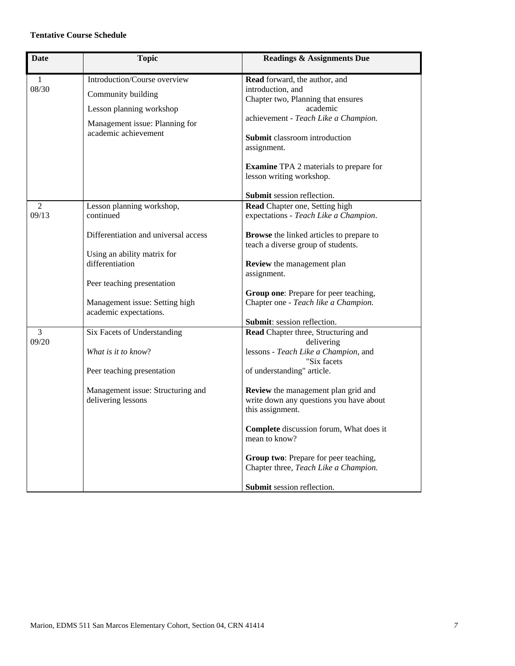### **Tentative Course Schedule**

| <b>Date</b>           | <b>Topic</b>                                                                                                                             | <b>Readings &amp; Assignments Due</b>                                                                                                                                                                                                                                     |
|-----------------------|------------------------------------------------------------------------------------------------------------------------------------------|---------------------------------------------------------------------------------------------------------------------------------------------------------------------------------------------------------------------------------------------------------------------------|
| $\mathbf{1}$<br>08/30 | Introduction/Course overview<br>Community building<br>Lesson planning workshop<br>Management issue: Planning for<br>academic achievement | Read forward, the author, and<br>introduction, and<br>Chapter two, Planning that ensures<br>academic<br>achievement - Teach Like a Champion.<br>Submit classroom introduction<br>assignment.<br><b>Examine TPA 2</b> materials to prepare for<br>lesson writing workshop. |
| 2<br>09/13            | Lesson planning workshop,<br>continued                                                                                                   | Submit session reflection.<br>Read Chapter one, Setting high<br>expectations - Teach Like a Champion.                                                                                                                                                                     |
|                       | Differentiation and universal access<br>Using an ability matrix for<br>differentiation                                                   | <b>Browse</b> the linked articles to prepare to<br>teach a diverse group of students.<br>Review the management plan<br>assignment.                                                                                                                                        |
|                       | Peer teaching presentation<br>Management issue: Setting high<br>academic expectations.                                                   | Group one: Prepare for peer teaching,<br>Chapter one - Teach like a Champion.                                                                                                                                                                                             |
| 3<br>09/20            | Six Facets of Understanding<br>What is it to know?<br>Peer teaching presentation                                                         | Submit: session reflection.<br>Read Chapter three, Structuring and<br>delivering<br>lessons - Teach Like a Champion, and<br>"Six facets<br>of understanding" article.                                                                                                     |
|                       | Management issue: Structuring and<br>delivering lessons                                                                                  | Review the management plan grid and<br>write down any questions you have about<br>this assignment.<br>Complete discussion forum, What does it                                                                                                                             |
|                       |                                                                                                                                          | mean to know?<br>Group two: Prepare for peer teaching,<br>Chapter three, Teach Like a Champion.<br>Submit session reflection.                                                                                                                                             |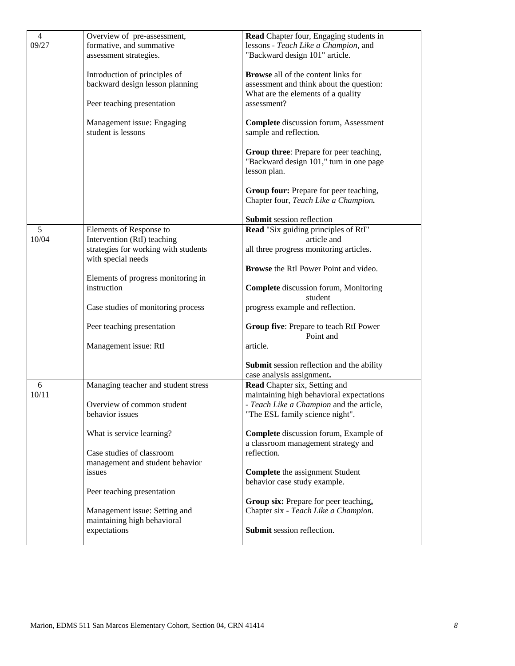| $\overline{4}$<br>09/27 | Overview of pre-assessment,<br>formative, and summative      | Read Chapter four, Engaging students in<br>lessons - Teach Like a Champion, and                    |
|-------------------------|--------------------------------------------------------------|----------------------------------------------------------------------------------------------------|
|                         | assessment strategies.                                       | "Backward design 101" article.                                                                     |
|                         |                                                              |                                                                                                    |
|                         | Introduction of principles of                                | <b>Browse</b> all of the content links for                                                         |
|                         | backward design lesson planning                              | assessment and think about the question:<br>What are the elements of a quality                     |
|                         | Peer teaching presentation                                   | assessment?                                                                                        |
|                         | Management issue: Engaging<br>student is lessons             | <b>Complete</b> discussion forum, Assessment<br>sample and reflection.                             |
|                         |                                                              | Group three: Prepare for peer teaching,<br>"Backward design 101," turn in one page<br>lesson plan. |
|                         |                                                              | Group four: Prepare for peer teaching,<br>Chapter four, Teach Like a Champion.                     |
|                         |                                                              | Submit session reflection                                                                          |
| 5<br>10/04              | Elements of Response to<br>Intervention (RtI) teaching       | Read "Six guiding principles of RtI"<br>article and                                                |
|                         | strategies for working with students<br>with special needs   | all three progress monitoring articles.                                                            |
|                         |                                                              | <b>Browse</b> the RtI Power Point and video.                                                       |
|                         | Elements of progress monitoring in<br>instruction            | <b>Complete</b> discussion forum, Monitoring<br>student                                            |
|                         | Case studies of monitoring process                           | progress example and reflection.                                                                   |
|                         | Peer teaching presentation                                   | Group five: Prepare to teach RtI Power<br>Point and                                                |
|                         | Management issue: RtI                                        | article.                                                                                           |
|                         |                                                              | Submit session reflection and the ability<br>case analysis assignment.                             |
| 6                       | Managing teacher and student stress                          | Read Chapter six, Setting and                                                                      |
| 10/11                   |                                                              | maintaining high behavioral expectations                                                           |
|                         | Overview of common student<br>behavior issues                | - Teach Like a Champion and the article,<br>"The ESL family science night".                        |
|                         |                                                              |                                                                                                    |
|                         | What is service learning?                                    | Complete discussion forum, Example of<br>a classroom management strategy and                       |
|                         | Case studies of classroom                                    | reflection.                                                                                        |
|                         | management and student behavior                              |                                                                                                    |
|                         | issues                                                       | <b>Complete</b> the assignment Student<br>behavior case study example.                             |
|                         | Peer teaching presentation                                   |                                                                                                    |
|                         |                                                              | Group six: Prepare for peer teaching,                                                              |
|                         | Management issue: Setting and<br>maintaining high behavioral | Chapter six - Teach Like a Champion.                                                               |
|                         | expectations                                                 | Submit session reflection.                                                                         |
|                         |                                                              |                                                                                                    |